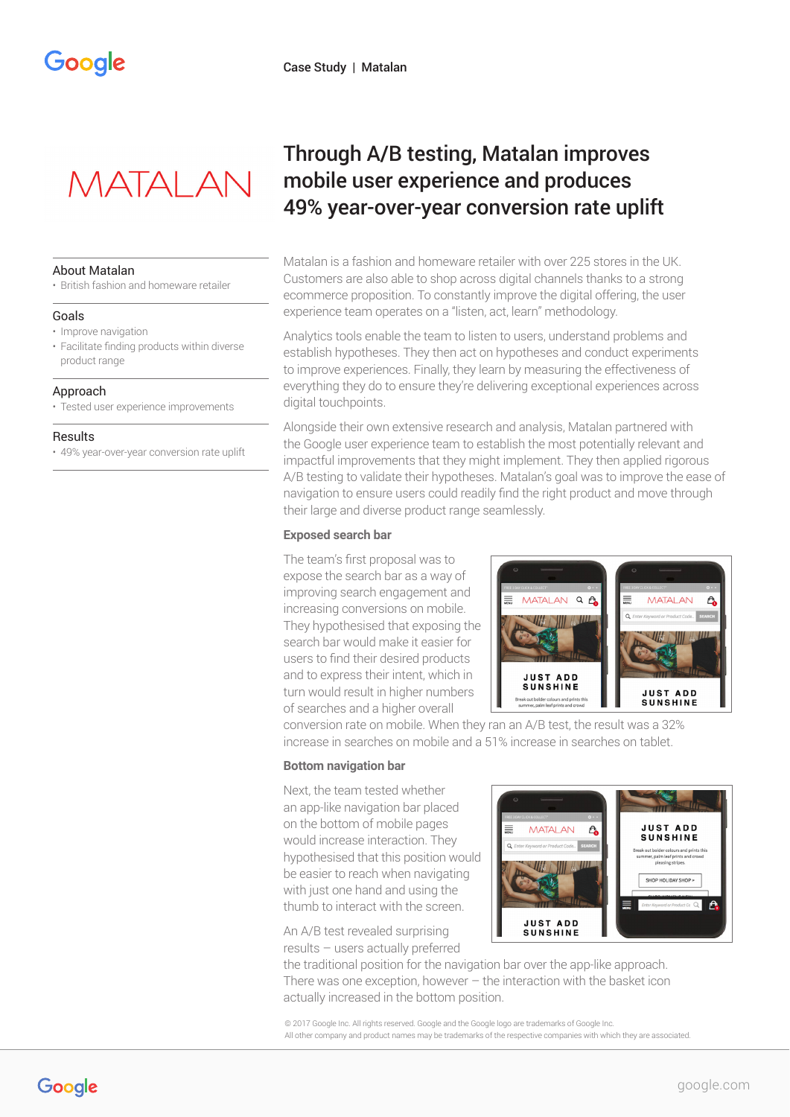

## About Matalan

• British fashion and homeware retailer

### Goals

- Improve navigation
- Facilitate finding products within diverse product range

## Approach

• Tested user experience improvements

### **Results**

• 49% year-over-year conversion rate uplift

# Through A/B testing, Matalan improves mobile user experience and produces 49% year-over-year conversion rate uplift

Matalan is a fashion and homeware retailer with over 225 stores in the UK. Customers are also able to shop across digital channels thanks to a strong ecommerce proposition. To constantly improve the digital offering, the user experience team operates on a "listen, act, learn" methodology.

Analytics tools enable the team to listen to users, understand problems and establish hypotheses. They then act on hypotheses and conduct experiments to improve experiences. Finally, they learn by measuring the effectiveness of everything they do to ensure they're delivering exceptional experiences across digital touchpoints.

Alongside their own extensive research and analysis, Matalan partnered with the Google user experience team to establish the most potentially relevant and impactful improvements that they might implement. They then applied rigorous A/B testing to validate their hypotheses. Matalan's goal was to improve the ease of navigation to ensure users could readily find the right product and move through their large and diverse product range seamlessly.

## **Exposed search bar**

The team's first proposal was to expose the search bar as a way of improving search engagement and increasing conversions on mobile. They hypothesised that exposing the search bar would make it easier for users to find their desired products and to express their intent, which in turn would result in higher numbers of searches and a higher overall



conversion rate on mobile. When they ran an A/B test, the result was a 32% increase in searches on mobile and a 51% increase in searches on tablet.

## **Bottom navigation bar**

Next, the team tested whether an app-like navigation bar placed on the bottom of mobile pages would increase interaction. They hypothesised that this position would be easier to reach when navigating with just one hand and using the thumb to interact with the screen.

An A/B test revealed surprising results – users actually preferred

the traditional position for the navigation bar over the app-like approach. There was one exception, however – the interaction with the basket icon actually increased in the bottom position.

© 2017 Google Inc. All rights reserved. Google and the Google logo are trademarks of Google Inc. All other company and product names may be trademarks of the respective companies with which they are associated.